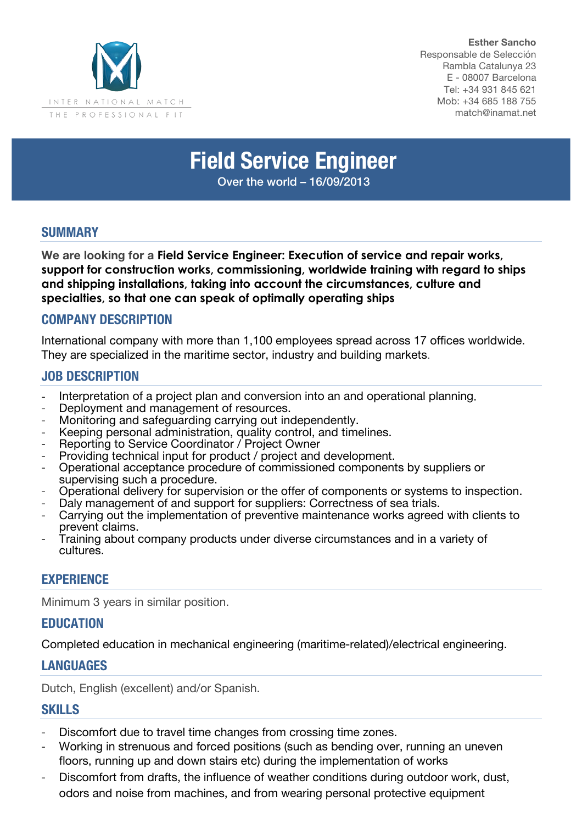

**Esther Sancho** Responsable de Selección Rambla Catalunya 23 E - 08007 Barcelona Tel: +34 931 845 621 Mob: +34 685 188 755 match@inamat.net

# **Field Service Engineer**

Over the world – 16/09/2013

## **SUMMARY**

**We are looking for a Field Service Engineer: Execution of service and repair works, support for construction works, commissioning, worldwide training with regard to ships and shipping installations, taking into account the circumstances, culture and specialties, so that one can speak of optimally operating ships**

## **COMPANY DESCRIPTION**

International company with more than 1,100 employees spread across 17 offices worldwide. They are specialized in the maritime sector, industry and building markets.

# **JOB DESCRIPTION**

- Interpretation of a project plan and conversion into an and operational planning.<br>Deployment and management of resources.
- 
- Monitoring and safeguarding carrying out independently.
- Keeping personal administration, quality control, and timelines.
- Reporting to Service Coordinator / Project Owner
- Providing technical input for product / project and development.
- Operational acceptance procedure of commissioned components by suppliers or supervising such a procedure.
- Operational delivery for supervision or the offer of components or systems to inspection.
- Daly management of and support for suppliers: Correctness of sea trials.
- Carrying out the implementation of preventive maintenance works agreed with clients to prevent claims.
- Training about company products under diverse circumstances and in a variety of cultures.

#### **EXPERIENCE**

Minimum 3 years in similar position.

# **EDUCATION**

Completed education in mechanical engineering (maritime-related)/electrical engineering.

#### **LANGUAGES**

Dutch, English (excellent) and/or Spanish.

#### **SKILLS**

- Discomfort due to travel time changes from crossing time zones.
- Working in strenuous and forced positions (such as bending over, running an uneven floors, running up and down stairs etc) during the implementation of works
- Discomfort from drafts, the influence of weather conditions during outdoor work, dust, odors and noise from machines, and from wearing personal protective equipment